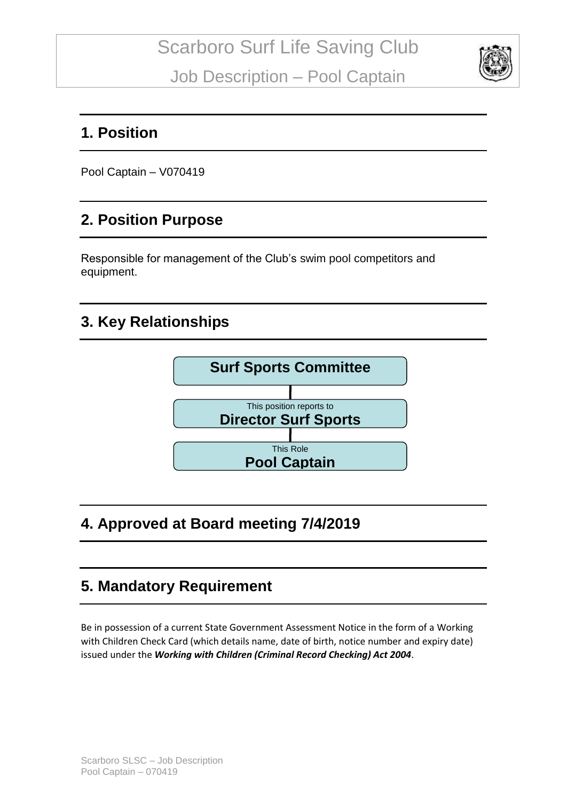

#### **1. Position**

Pool Captain – V070419

## **2. Position Purpose**

Responsible for management of the Club's swim pool competitors and equipment.

### **3. Key Relationships**



## **4. Approved at Board meeting 7/4/2019**

#### **5. Mandatory Requirement**

Be in possession of a current State Government Assessment Notice in the form of a Working with Children Check Card (which details name, date of birth, notice number and expiry date) issued under the *Working with Children (Criminal Record Checking) Act 2004*.